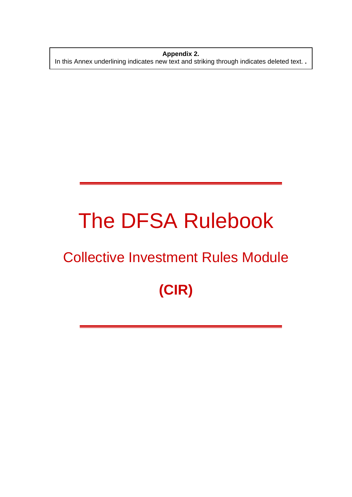**Appendix 2.**  In this Annex underlining indicates new text and striking through indicates deleted text. **.** 

 $\overline{a}$ 

# The DFSA Rulebook

# Collective Investment Rules Module

# **(CIR)**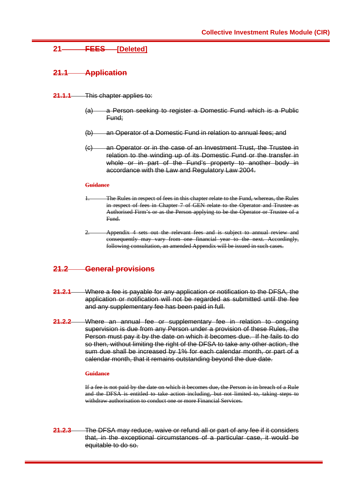# **21 FEES [Deleted]**

### **21.1 Application**

- **21.1.1** This chapter applies to:
	- (a) a Person seeking to register a Domestic Fund which is a Public Fund;
	- (b) an Operator of a Domestic Fund in relation to annual fees; and
	- (c) an Operator or in the case of an Investment Trust, the Trustee in relation to the winding up of its Domestic Fund or the transfer in whole or in part of the Fund's property to another body in accordance with the Law and Regulatory Law 2004.

#### **Guidance**

- 1. The Rules in respect of fees in this chapter relate to the Fund, whereas, the Rules in respect of fees in Chapter 7 of GEN relate to the Operator and Trustee as Authorised Firm's or as the Person applying to be the Operator or Trustee of a Fund.
- 2. Appendix 4 sets out the relevant fees and is subject to annual review and consequently may vary from one financial year to the next. Accordingly, following consultation, an amended Appendix will be issued in such cases.

### **21.2 General provisions**

- **21.2.1** Where a fee is payable for any application or notification to the DFSA, the application or notification will not be regarded as submitted until the fee and any supplementary fee has been paid in full.
- **21.2.2** Where an annual fee or supplementary fee in relation to ongoing supervision is due from any Person under a provision of these Rules, the Person must pay it by the date on which it becomes due. If he fails to do so then, without limiting the right of the DFSA to take any other action, the sum due shall be increased by 1% for each calendar month, or part of a calendar month, that it remains outstanding beyond the due date.

#### **Guidance**

 If a fee is not paid by the date on which it becomes due, the Person is in breach of a Rule and the DFSA is entitled to take action including, but not limited to, taking steps to withdraw authorisation to conduct one or more Financial Services.

**21.2.3** The DFSA may reduce, waive or refund all or part of any fee if it considers that, in the exceptional circumstances of a particular case, it would be equitable to do so.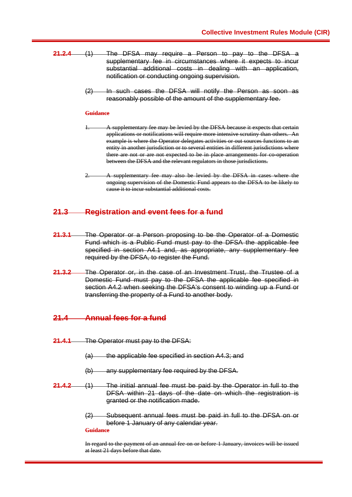- **21.2.4** (1) The DFSA may require a Person to pay to the DFSA a supplementary fee in circumstances where it expects to incur substantial additional costs in dealing with an application, notification or conducting ongoing supervision.
	- (2) In such cases the DFSA will notify the Person as soon as reasonably possible of the amount of the supplementary fee.

#### **Guidance**

- 1. A supplementary fee may be levied by the DFSA because it expects that certain applications or notifications will require more intensive scrutiny than others. An example is where the Operator delegates activities or out sources functions to an entity in another jurisdiction or to several entities in different jurisdictions where there are not or are not expected to be in place arrangements for co-operation between the DFSA and the relevant regulators in those jurisdictions.
- 2. A supplementary fee may also be levied by the DFSA in cases where the ongoing supervision of the Domestic Fund appears to the DFSA to be likely to cause it to incur substantial additional costs.

# **21.3 Registration and event fees for a fund**

- **21.3.1** The Operator or a Person proposing to be the Operator of a Domestic Fund which is a Public Fund must pay to the DFSA the applicable fee specified in section A4.1 and, as appropriate, any supplementary fee required by the DFSA, to register the Fund.
- **21.3.2** The Operator or, in the case of an Investment Trust, the Trustee of a Domestic Fund must pay to the DFSA the applicable fee specified in section A4.2 when seeking the DFSA's consent to winding up a Fund or transferring the property of a Fund to another body.

# **21.4 Annual fees for a fund**

- **21.4.1** The Operator must pay to the DFSA:
	- (a) the applicable fee specified in section A4.3; and
	- (b) any supplementary fee required by the DFSA.
- **21.4.2** (1) The initial annual fee must be paid by the Operator in full to the DFSA within 21 days of the date on which the registration is granted or the notification made.
	- (2) Subsequent annual fees must be paid in full to the DFSA on or before 1 January of any calendar year.

## **Guidance**

In regard to the payment of an annual fee on or before 1 January, invoices will be issued at least 21 days before that date.